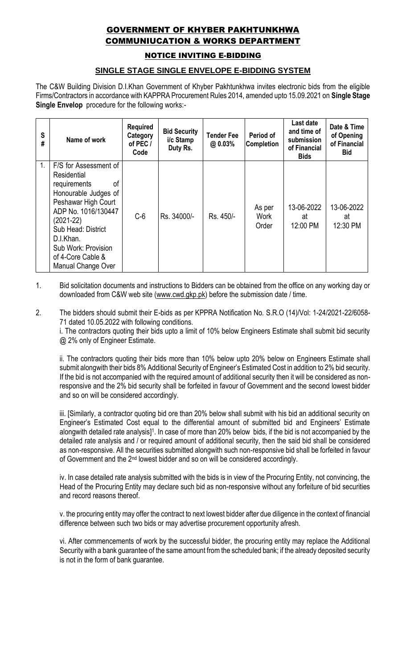## GOVERNMENT OF KHYBER PAKHTUNKHWA COMMUNIUCATION & WORKS DEPARTMENT

NOTICE INVITING E-BIDDING

## **SINGLE STAGE SINGLE ENVELOPE E-BIDDING SYSTEM**

The C&W Building Division D.I.Khan Government of Khyber Pakhtunkhwa invites electronic bids from the eligible Firms/Contractors in accordance with KAPPRA Procurement Rules 2014, amended upto 15.09.2021 on **Single Stage Single Envelop** procedure for the following works:-

| S<br># | Name of work                                                                                                                                                                                                                                         | <b>Required</b><br>Category<br>of PEC /<br>Code | <b>Bid Security</b><br>i/c Stamp<br>Duty Rs. | <b>Tender Fee</b><br>@ 0.03% | Period of<br><b>Completion</b> | Last date<br>and time of<br>submission<br>of Financial<br><b>Bids</b> | Date & Time<br>of Opening<br>of Financial<br><b>Bid</b> |
|--------|------------------------------------------------------------------------------------------------------------------------------------------------------------------------------------------------------------------------------------------------------|-------------------------------------------------|----------------------------------------------|------------------------------|--------------------------------|-----------------------------------------------------------------------|---------------------------------------------------------|
| 1.     | F/S for Assessment of<br>Residential<br>requirements<br>οf<br>Honourable Judges of<br>Peshawar High Court<br>ADP No. 1016/130447<br>$(2021-22)$<br>Sub Head: District<br>D.I.Khan.<br>Sub Work: Provision<br>of 4-Core Cable &<br>Manual Change Over | $C-6$                                           | Rs. 34000/-                                  | Rs. 450/-                    | As per<br>Work<br>Order        | 13-06-2022<br>at<br>12:00 PM                                          | 13-06-2022<br>at<br>12:30 PM                            |

- 1. Bid solicitation documents and instructions to Bidders can be obtained from the office on any working day or downloaded from C&W web site [\(www.cwd.gkp.pk\)](http://www.cwd.gkp.pk/) before the submission date / time.
- 2. The bidders should submit their E-bids as per KPPRA Notification No. S.R.O (14)/Vol: 1-24/2021-22/6058- 71 dated 10.05.2022 with following conditions.

i. The contractors quoting their bids upto a limit of 10% below Engineers Estimate shall submit bid security @ 2% only of Engineer Estimate.

ii. The contractors quoting their bids more than 10% below upto 20% below on Engineers Estimate shall submit alongwith their bids 8% Additional Security of Engineer's Estimated Cost in addition to 2% bid security. If the bid is not accompanied with the required amount of additional security then it will be considered as nonresponsive and the 2% bid security shall be forfeited in favour of Government and the second lowest bidder and so on will be considered accordingly.

iii. [Similarly, a contractor quoting bid ore than 20% below shall submit with his bid an additional security on Engineer's Estimated Cost equal to the differential amount of submitted bid and Engineers' Estimate alongwith detailed rate analysis]<sup>1</sup>. In case of more than 20% below bids, if the bid is not accompanied by the detailed rate analysis and / or required amount of additional security, then the said bid shall be considered as non-responsive. All the securities submitted alongwith such non-responsive bid shall be forfeited in favour of Government and the 2nd lowest bidder and so on will be considered accordingly.

iv. In case detailed rate analysis submitted with the bids is in view of the Procuring Entity, not convincing, the Head of the Procuring Entity may declare such bid as non-responsive without any forfeiture of bid securities and record reasons thereof.

v. the procuring entity may offer the contract to next lowest bidder after due diligence in the context of financial difference between such two bids or may advertise procurement opportunity afresh.

vi. After commencements of work by the successful bidder, the procuring entity may replace the Additional Security with a bank guarantee of the same amount from the scheduled bank; if the already deposited security is not in the form of bank guarantee.